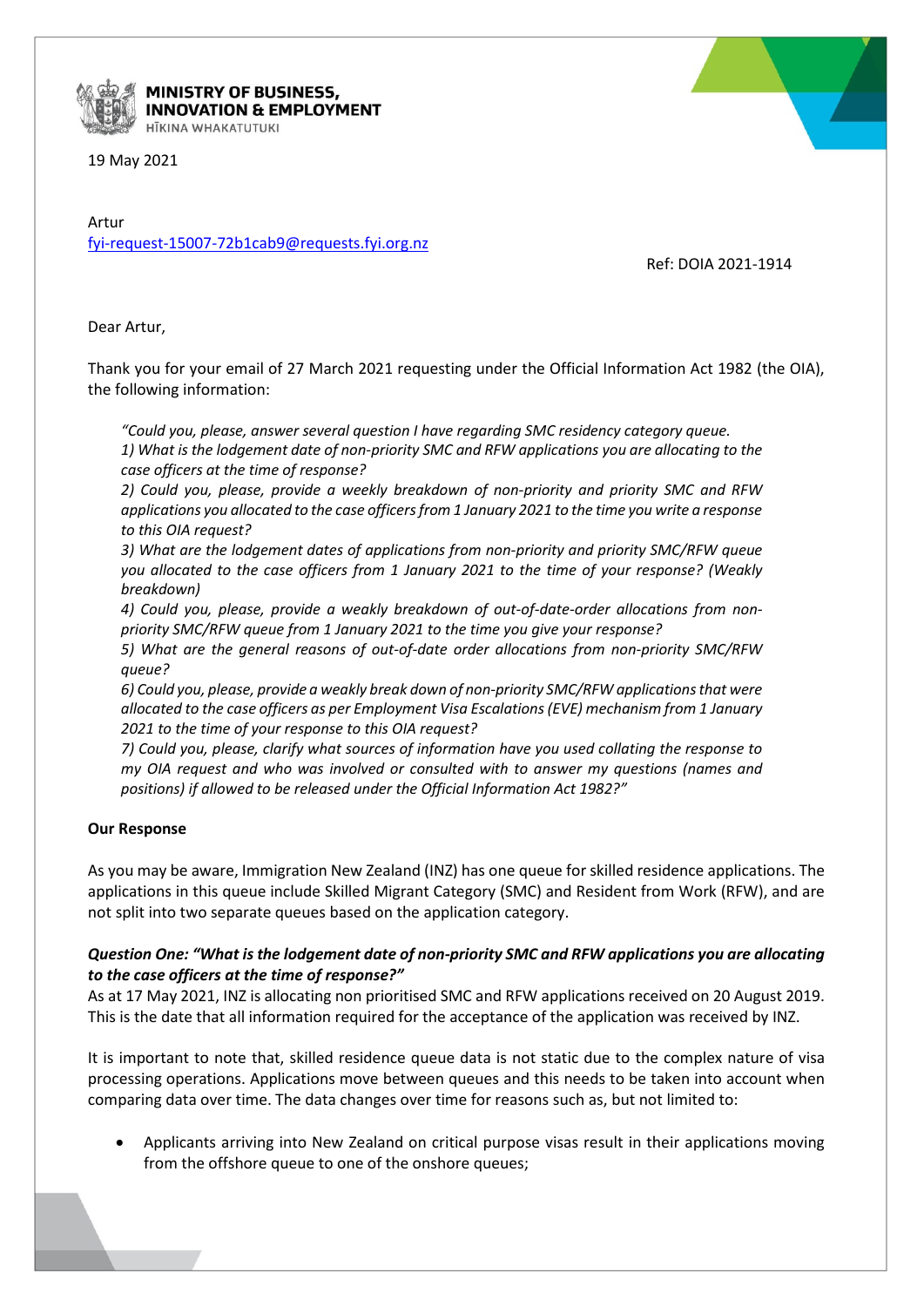

#### **MINISTRY OF BUSINESS, INNOVATION & EMPLOYMENT** HĪKINA WHAKATUTUKI

19 May 2021

Artur fyi-request-15007-72b1cab9@requests.fyi.org.nz

Ref: DOIA 2021-1914

Dear Artur,

Thank you for your email of 27 March 2021 requesting under the Official Information Act 1982 (the OIA), the following information:

*"Could you, please, answer several question I have regarding SMC residency category queue. 1) What is the lodgement date of non-priority SMC and RFW applications you are allocating to the case officers at the time of response?*

*2) Could you, please, provide a weekly breakdown of non-priority and priority SMC and RFW applications you allocated to the case officers from 1 January 2021 to the time you write a response to this OIA request?*

*3) What are the lodgement dates of applications from non-priority and priority SMC/RFW queue you allocated to the case officers from 1 January 2021 to the time of your response? (Weakly breakdown)*

*4) Could you, please, provide a weakly breakdown of out-of-date-order allocations from nonpriority SMC/RFW queue from 1 January 2021 to the time you give your response?*

*5) What are the general reasons of out-of-date order allocations from non-priority SMC/RFW queue?*

*6) Could you, please, provide a weakly break down of non-priority SMC/RFW applications that were allocated to the case officers as per Employment Visa Escalations (EVE) mechanism from 1 January 2021 to the time of your response to this OIA request?*

*7) Could you, please, clarify what sources of information have you used collating the response to my OIA request and who was involved or consulted with to answer my questions (names and positions) if allowed to be released under the Official Information Act 1982?"*

#### **Our Response**

As you may be aware, Immigration New Zealand (INZ) has one queue for skilled residence applications. The applications in this queue include Skilled Migrant Category (SMC) and Resident from Work (RFW), and are not split into two separate queues based on the application category.

## *Question One: "What is the lodgement date of non-priority SMC and RFW applications you are allocating to the case officers at the time of response?"*

As at 17 May 2021, INZ is allocating non prioritised SMC and RFW applications received on 20 August 2019. This is the date that all information required for the acceptance of the application was received by INZ.

It is important to note that, skilled residence queue data is not static due to the complex nature of visa processing operations. Applications move between queues and this needs to be taken into account when comparing data over time. The data changes over time for reasons such as, but not limited to:

• Applicants arriving into New Zealand on critical purpose visas result in their applications moving from the offshore queue to one of the onshore queues;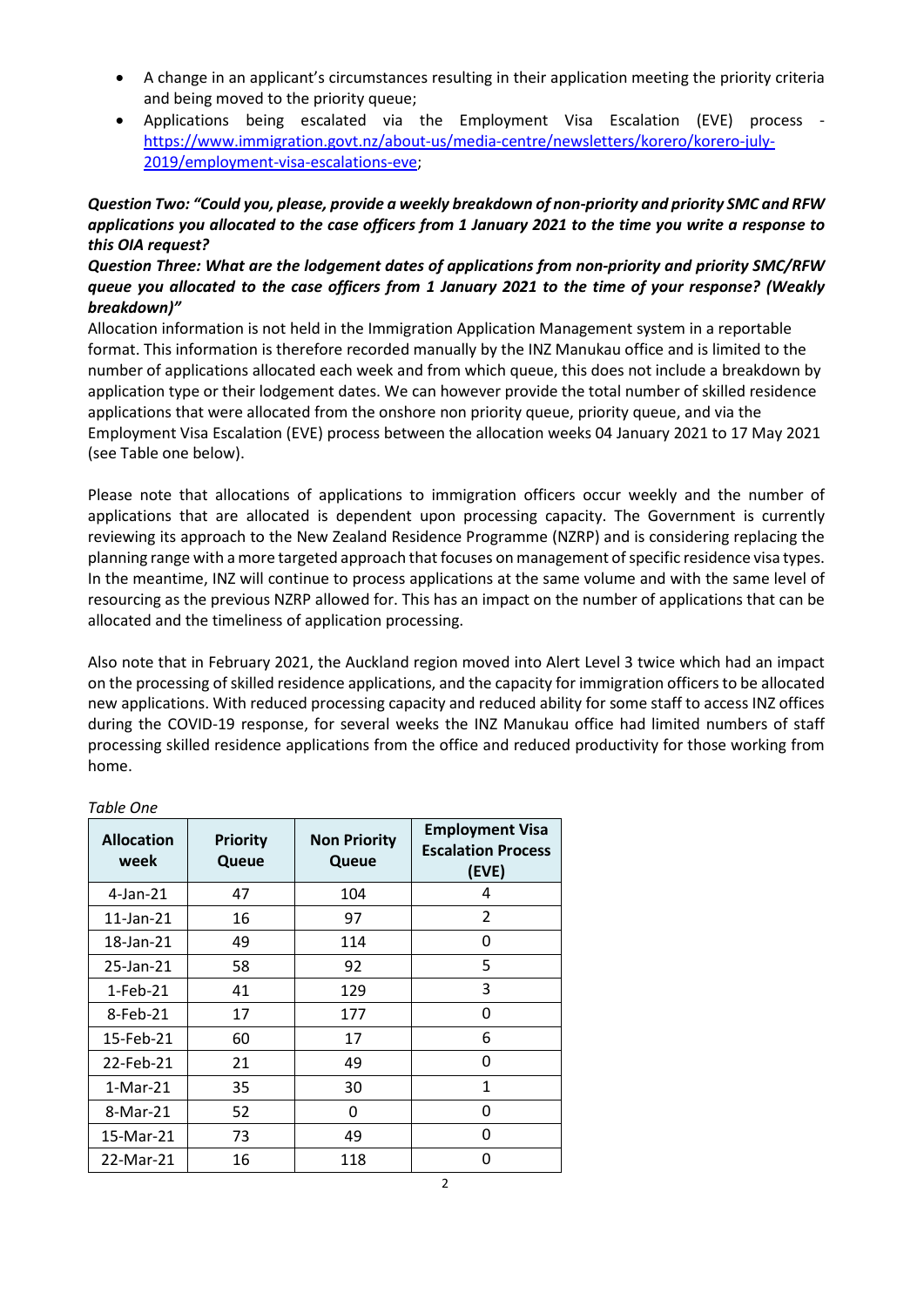- A change in an applicant's circumstances resulting in their application meeting the priority criteria and being moved to the priority queue;
- Applications being escalated via the Employment Visa Escalation (EVE) process [https://www.immigration.govt.nz/about-us/media-centre/newsletters/korero/korero-july-](https://www.immigration.govt.nz/about-us/media-centre/newsletters/korero/korero-july-2019/employment-visa-escalations-eve)[2019/employment-visa-escalations-eve;](https://www.immigration.govt.nz/about-us/media-centre/newsletters/korero/korero-july-2019/employment-visa-escalations-eve)

## *Question Two: "Could you, please, provide a weekly breakdown of non-priority and priority SMC and RFW applications you allocated to the case officers from 1 January 2021 to the time you write a response to this OIA request?*

# *Question Three: What are the lodgement dates of applications from non-priority and priority SMC/RFW queue you allocated to the case officers from 1 January 2021 to the time of your response? (Weakly breakdown)"*

Allocation information is not held in the Immigration Application Management system in a reportable format. This information is therefore recorded manually by the INZ Manukau office and is limited to the number of applications allocated each week and from which queue, this does not include a breakdown by application type or their lodgement dates. We can however provide the total number of skilled residence applications that were allocated from the onshore non priority queue, priority queue, and via the Employment Visa Escalation (EVE) process between the allocation weeks 04 January 2021 to 17 May 2021 (see Table one below).

Please note that allocations of applications to immigration officers occur weekly and the number of applications that are allocated is dependent upon processing capacity. The Government is currently reviewing its approach to the New Zealand Residence Programme (NZRP) and is considering replacing the planning range with a more targeted approach that focuses on management of specific residence visa types. In the meantime, INZ will continue to process applications at the same volume and with the same level of resourcing as the previous NZRP allowed for. This has an impact on the number of applications that can be allocated and the timeliness of application processing.

Also note that in February 2021, the Auckland region moved into Alert Level 3 twice which had an impact on the processing of skilled residence applications, and the capacity for immigration officers to be allocated new applications. With reduced processing capacity and reduced ability for some staff to access INZ offices during the COVID-19 response, for several weeks the INZ Manukau office had limited numbers of staff processing skilled residence applications from the office and reduced productivity for those working from home.

| <b>Allocation</b><br>week | <b>Priority</b><br>Queue | <b>Non Priority</b><br>Queue | <b>Employment Visa</b><br><b>Escalation Process</b><br>(EVE) |
|---------------------------|--------------------------|------------------------------|--------------------------------------------------------------|
| $4$ -Jan- $21$            | 47                       | 104                          | 4                                                            |
| 11-Jan-21                 | 16                       | 97                           | $\mathcal{P}$                                                |
| 18-Jan-21                 | 49                       | 114                          | 0                                                            |
| 25-Jan-21                 | 58                       | 92                           | 5                                                            |
| $1-Feb-21$                | 41                       | 129                          | 3                                                            |
| 8-Feb-21                  | 17                       | 177                          | O                                                            |
| 15-Feb-21                 | 60                       | 17                           | 6                                                            |
| 22-Feb-21                 | 21                       | 49                           | ŋ                                                            |
| $1-Mar-21$                | 35                       | 30                           | 1                                                            |
| 8-Mar-21                  | 52                       | 0                            | ŋ                                                            |
| 15-Mar-21                 | 73                       | 49                           | U                                                            |
| 22-Mar-21                 | 16                       | 118                          | O                                                            |

## *Table One*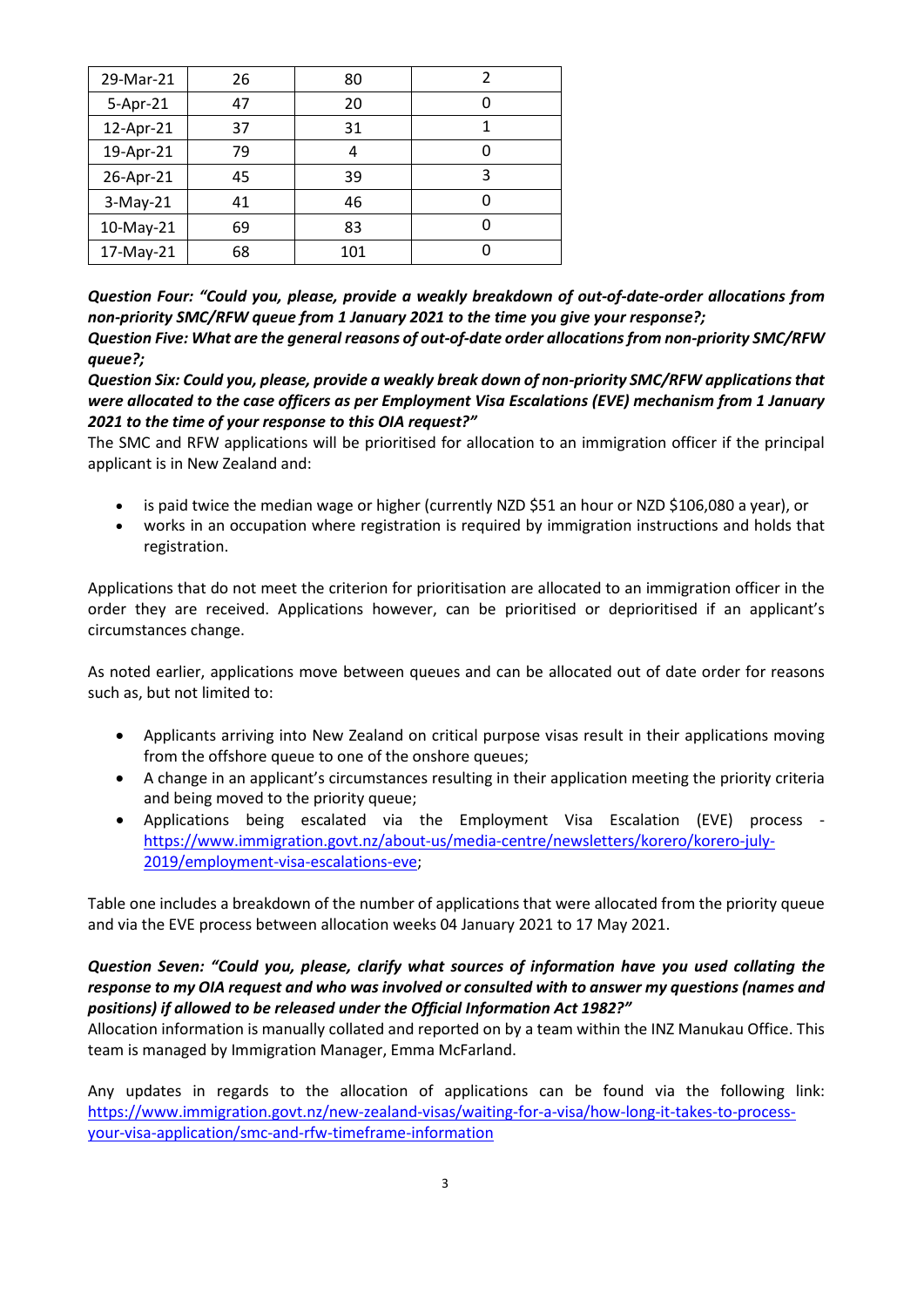| 29-Mar-21  | 26 | 80  |   |
|------------|----|-----|---|
| 5-Apr-21   | 47 | 20  |   |
| 12-Apr-21  | 37 | 31  |   |
| 19-Apr-21  | 79 | 4   | O |
| 26-Apr-21  | 45 | 39  | 3 |
| $3-May-21$ | 41 | 46  | O |
| 10-May-21  | 69 | 83  |   |
| 17-May-21  | 68 | 101 |   |

*Question Four: "Could you, please, provide a weakly breakdown of out-of-date-order allocations from non-priority SMC/RFW queue from 1 January 2021 to the time you give your response?; Question Five: What are the general reasons of out-of-date order allocations from non-priority SMC/RFW queue?;*

*Question Six: Could you, please, provide a weakly break down of non-priority SMC/RFW applications that were allocated to the case officers as per Employment Visa Escalations (EVE) mechanism from 1 January 2021 to the time of your response to this OIA request?"*

The SMC and RFW applications will be prioritised for allocation to an immigration officer if the principal applicant is in New Zealand and:

- is paid twice the median wage or higher (currently NZD \$51 an hour or NZD \$106,080 a year), or
- works in an occupation where registration is required by immigration instructions and holds that registration.

Applications that do not meet the criterion for prioritisation are allocated to an immigration officer in the order they are received. Applications however, can be prioritised or deprioritised if an applicant's circumstances change.

As noted earlier, applications move between queues and can be allocated out of date order for reasons such as, but not limited to:

- Applicants arriving into New Zealand on critical purpose visas result in their applications moving from the offshore queue to one of the onshore queues;
- A change in an applicant's circumstances resulting in their application meeting the priority criteria and being moved to the priority queue;
- Applications being escalated via the Employment Visa Escalation (EVE) process [https://www.immigration.govt.nz/about-us/media-centre/newsletters/korero/korero-july-](https://www.immigration.govt.nz/about-us/media-centre/newsletters/korero/korero-july-2019/employment-visa-escalations-eve)[2019/employment-visa-escalations-eve;](https://www.immigration.govt.nz/about-us/media-centre/newsletters/korero/korero-july-2019/employment-visa-escalations-eve)

Table one includes a breakdown of the number of applications that were allocated from the priority queue and via the EVE process between allocation weeks 04 January 2021 to 17 May 2021.

## *Question Seven: "Could you, please, clarify what sources of information have you used collating the response to my OIA request and who was involved or consulted with to answer my questions (names and positions) if allowed to be released under the Official Information Act 1982?"*

Allocation information is manually collated and reported on by a team within the INZ Manukau Office. This team is managed by Immigration Manager, Emma McFarland.

Any updates in regards to the allocation of applications can be found via the following link: [https://www.immigration.govt.nz/new-zealand-visas/waiting-for-a-visa/how-long-it-takes-to-process](https://www.immigration.govt.nz/new-zealand-visas/waiting-for-a-visa/how-long-it-takes-to-process-your-visa-application/smc-and-rfw-timeframe-information)[your-visa-application/smc-and-rfw-timeframe-information](https://www.immigration.govt.nz/new-zealand-visas/waiting-for-a-visa/how-long-it-takes-to-process-your-visa-application/smc-and-rfw-timeframe-information)